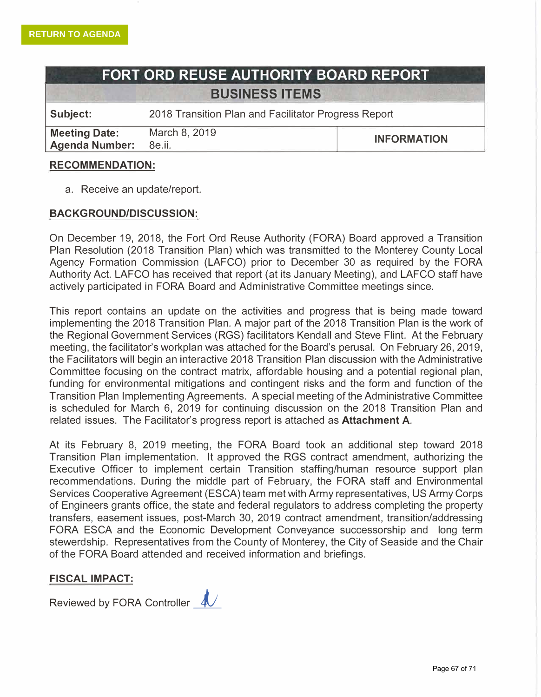# **FORT ORD REUSE AUTHORITY BOARD REPORT BUSINESS ITEMS**

**Subject:** 2018 Transition Plan and Facilitator Progress Report

**Meeting Date:** March 8, 2019 Agenda Number: 8e.ii.

**INFORMATION** 

|<br>|<br>|<br>|

#### **RECOMMENDATION:**

a. Receive an update/report.

#### **BACKGROUND/DISCUSSION:**

On December 19, 2018, the Fort Ord Reuse Authority (FORA) Board approved a Transition Plan Resolution (2018 Transition Plan) which was transmitted to the Monterey County Local Agency Formation Commission (LAFCO) prior to December 30 as required by the FORA Authority Act. LAFCO has received that report (at its January Meeting), and LAFCO staff have actively participated in FORA Board and Administrative Committee meetings since.

This report contains an update on the activities and progress that is being made toward implementing the 2018 Transition Plan. A major part of the 2018 Transition Plan is the work of the Regional Government Services (RGS) facilitators Kendall and Steve Flint. At the February meeting, the facilitator's workplan was attached for the Board's perusal. On February 26, 2019, the Facilitators will begin an interactive 2018 Transition Plan discussion with the Administrative Committee focusing on the contract matrix, affordable housing and a potential regional plan, funding for environmental mitigations and contingent risks and the form and function of the Transition Plan Implementing Agreements. A special meeting of the Administrative Committee is scheduled for March 6, 2019 for continuing discussion on the 2018 Transition Plan and related issues. The Facilitator's progress report is attached as **Attachment** A.

At its February 8, 2019 meeting, the FORA Board took an additional step toward 2018 Transition Plan implementation. It approved the RGS contract amendment, authorizing the Executive Officer to implement certain Transition staffing/human resource support plan recommendations. During the middle part of February, the FORA staff and Environmental Services Cooperative Agreement (ESCA) team met with Army representatives, US Army Corps of Engineers grants office, the state and federal regulators to address completing the property transfers, easement issues, post-March 30, 2019 contract amendment, transition/addressing FORA ESCA and the Economic Development Conveyance successorship and long term stewerdship. Representatives from the County of Monterey, the City of Seaside and the Chair of the FORA Board attended and received information and briefings.

#### **FISCAL IMPACT:**

Reviewed by FORA Controller 4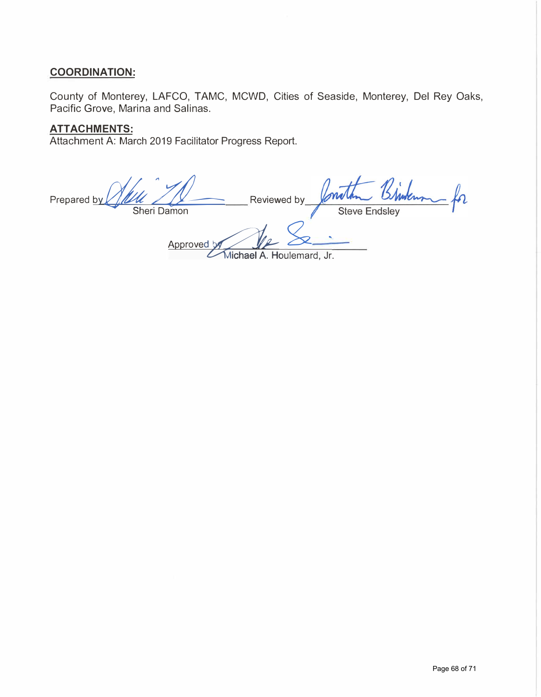## **COORDINATION:**

County of Monterey, LAFCO, TAMC, MCWD, Cities of Seaside, Monterey, Del Rey Oaks, Pacific Grove, Marina and Salinas.

## **ATTACHMENTS:**

Attachment A: March 2019 Facilitator Progress Report.

Prepared by Reviewed by Sheri Damon Steve Approved by Michael A. Houlemard, Jr.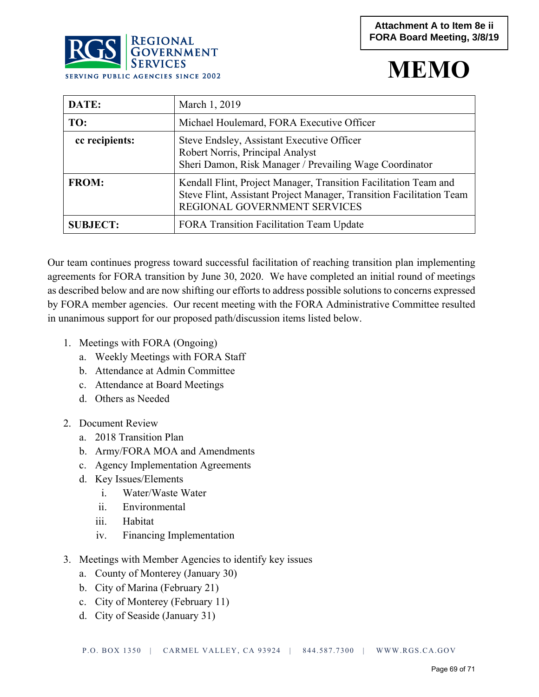# **MEMO**

|                | RUD GOVERNMENT<br><b>SERVICES</b><br><b>SERVING PUBLIC AGENCIES SINCE 2002</b> | IVI H                                                                                                                                     |
|----------------|--------------------------------------------------------------------------------|-------------------------------------------------------------------------------------------------------------------------------------------|
| DATE:          | March 1, 2019                                                                  |                                                                                                                                           |
| TO:            |                                                                                | Michael Houlemard, FORA Executive Officer                                                                                                 |
| cc recipients: |                                                                                | Steve Endsley, Assistant Executive Officer<br>Robert Norris, Principal Analyst<br>Sheri Damon, Risk Manager / Prevailing Wage Coordinator |
|                |                                                                                |                                                                                                                                           |

| <b>FROM:</b>    | Kendall Flint, Project Manager, Transition Facilitation Team and<br>Steve Flint, Assistant Project Manager, Transition Facilitation Team<br><b>REGIONAL GOVERNMENT SERVICES</b> |
|-----------------|---------------------------------------------------------------------------------------------------------------------------------------------------------------------------------|
| <b>SUBJECT:</b> | <b>FORA Transition Facilitation Team Update</b>                                                                                                                                 |

Our team continues progress toward successful facilitation of reaching transition plan implementing agreements for FORA transition by June 30, 2020. We have completed an initial round of meetings as described below and are now shifting our efforts to address possible solutions to concerns expressed by FORA member agencies. Our recent meeting with the FORA Administrative Committee resulted in unanimous support for our proposed path/discussion items listed below.

1. Meetings with FORA (Ongoing)

**DOO** REGIONAL

- a. Weekly Meetings with FORA Staff
- b. Attendance at Admin Committee
- c. Attendance at Board Meetings
- d. Others as Needed
- 2. Document Review
	- a. 2018 Transition Plan
	- b. Army/FORA MOA and Amendments
	- c. Agency Implementation Agreements
	- d. Key Issues/Elements
		- i. Water/Waste Water
		- ii. Environmental
		- iii. Habitat
		- iv. Financing Implementation
- 3. Meetings with Member Agencies to identify key issues
	- a. County of Monterey (January 30)
	- b. City of Marina (February 21)
	- c. City of Monterey (February 11)
	- d. City of Seaside (January 31)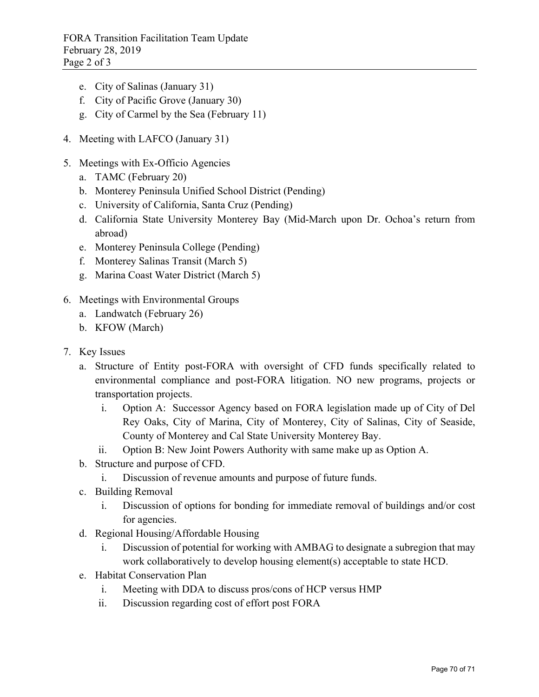FORA Transition Facilitation Team Update February 28, 2019 Page 2 of 3

- e. City of Salinas (January 31)
- f. City of Pacific Grove (January 30)
- g. City of Carmel by the Sea (February 11)
- 4. Meeting with LAFCO (January 31)
- 5. Meetings with Ex-Officio Agencies
	- a. TAMC (February 20)
	- b. Monterey Peninsula Unified School District (Pending)
	- c. University of California, Santa Cruz (Pending)
	- d. California State University Monterey Bay (Mid-March upon Dr. Ochoa's return from abroad)
	- e. Monterey Peninsula College (Pending)
	- f. Monterey Salinas Transit (March 5)
	- g. Marina Coast Water District (March 5)
- 6. Meetings with Environmental Groups
	- a. Landwatch (February 26)
	- b. KFOW (March)
- 7. Key Issues
	- a. Structure of Entity post-FORA with oversight of CFD funds specifically related to environmental compliance and post-FORA litigation. NO new programs, projects or transportation projects.
		- i. Option A: Successor Agency based on FORA legislation made up of City of Del Rey Oaks, City of Marina, City of Monterey, City of Salinas, City of Seaside, County of Monterey and Cal State University Monterey Bay.
		- ii. Option B: New Joint Powers Authority with same make up as Option A.
	- b. Structure and purpose of CFD.
		- i. Discussion of revenue amounts and purpose of future funds.
	- c. Building Removal
		- i. Discussion of options for bonding for immediate removal of buildings and/or cost for agencies.
	- d. Regional Housing/Affordable Housing
		- i. Discussion of potential for working with AMBAG to designate a subregion that may work collaboratively to develop housing element(s) acceptable to state HCD.
	- e. Habitat Conservation Plan
		- i. Meeting with DDA to discuss pros/cons of HCP versus HMP
		- ii. Discussion regarding cost of effort post FORA